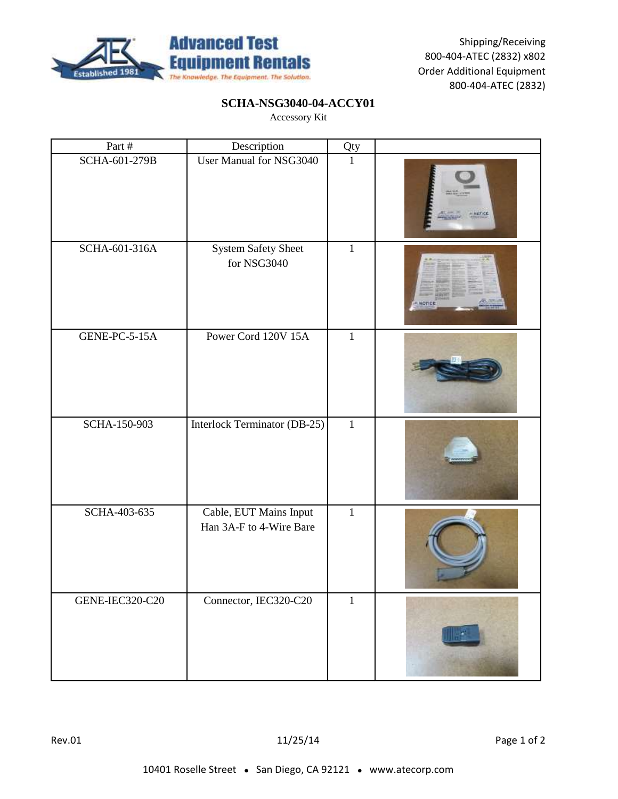

## **SCHA-NSG3040-04-ACCY01**

| Part #          | Description                                       | Qty          |  |
|-----------------|---------------------------------------------------|--------------|--|
| SCHA-601-279B   | User Manual for NSG3040                           | $\mathbf{1}$ |  |
| SCHA-601-316A   | System Safety Sheet<br>for NSG3040                | $\mathbf{1}$ |  |
| GENE-PC-5-15A   | Power Cord 120V 15A                               | $\mathbf{1}$ |  |
| SCHA-150-903    | Interlock Terminator (DB-25)                      | $\mathbf{1}$ |  |
| SCHA-403-635    | Cable, EUT Mains Input<br>Han 3A-F to 4-Wire Bare | $\mathbf{1}$ |  |
| GENE-IEC320-C20 | Connector, IEC320-C20                             | $1\,$        |  |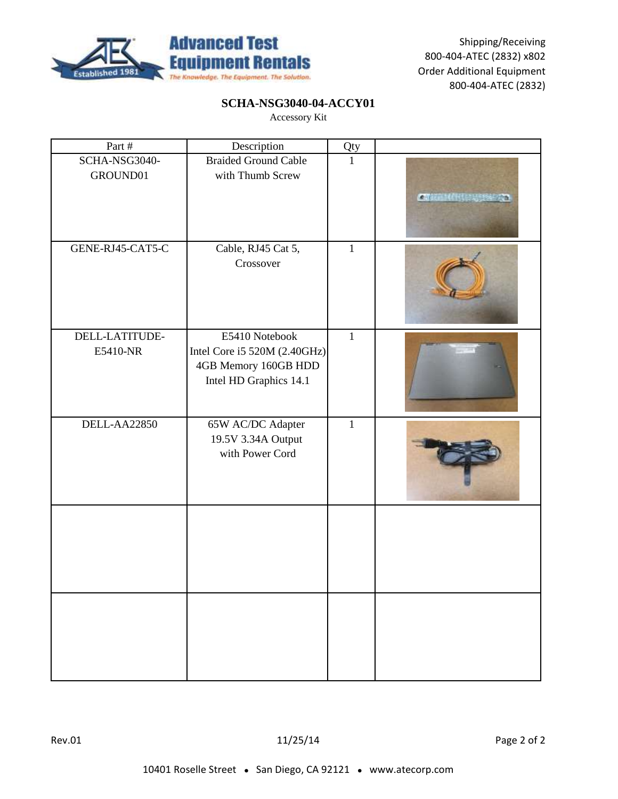

## **SCHA-NSG3040-04-ACCY01**

| Part #                     | Description                                                                                      | Qty          |             |
|----------------------------|--------------------------------------------------------------------------------------------------|--------------|-------------|
| SCHA-NSG3040-<br>GROUND01  | <b>Braided Ground Cable</b><br>with Thumb Screw                                                  | $\mathbf{1}$ | $2 - 1 - 1$ |
| GENE-RJ45-CAT5-C           | Cable, RJ45 Cat 5,<br>Crossover                                                                  | $\mathbf{1}$ |             |
| DELL-LATITUDE-<br>E5410-NR | E5410 Notebook<br>Intel Core i5 520M (2.40GHz)<br>4GB Memory 160GB HDD<br>Intel HD Graphics 14.1 | $\mathbf{1}$ |             |
| DELL-AA22850               | 65W AC/DC Adapter<br>19.5V 3.34A Output<br>with Power Cord                                       | $\mathbf{1}$ |             |
|                            |                                                                                                  |              |             |
|                            |                                                                                                  |              |             |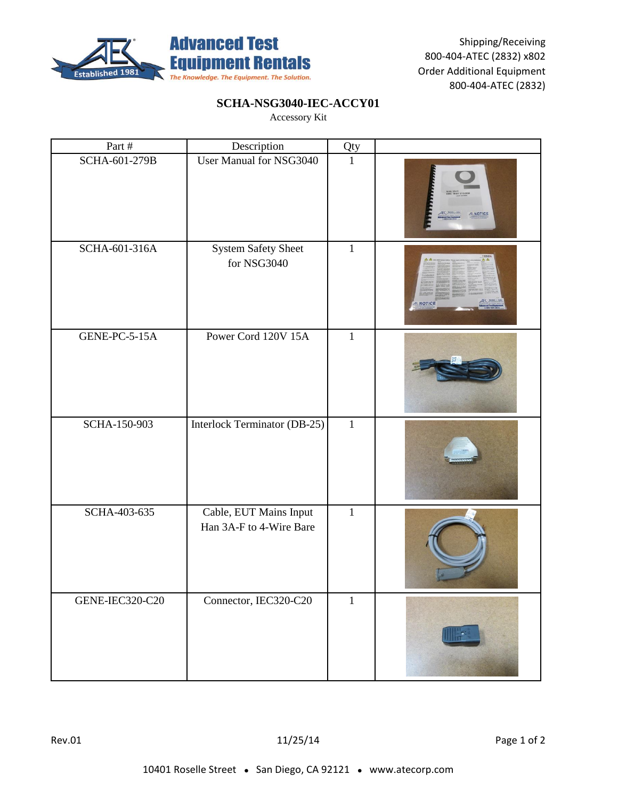

## **SCHA-NSG3040-IEC-ACCY01**

| Part #          | Description                                       | Qty          |              |
|-----------------|---------------------------------------------------|--------------|--------------|
| SCHA-601-279B   | User Manual for NSG3040                           | $\mathbf{1}$ |              |
| SCHA-601-316A   | System Safety Sheet<br>for NSG3040                | $\mathbf{1}$ | <b>NOTIC</b> |
| GENE-PC-5-15A   | Power Cord 120V 15A                               | $\mathbf{1}$ |              |
| SCHA-150-903    | Interlock Terminator (DB-25)                      | $\mathbf{1}$ |              |
| SCHA-403-635    | Cable, EUT Mains Input<br>Han 3A-F to 4-Wire Bare | $\mathbf{1}$ |              |
| GENE-IEC320-C20 | Connector, IEC320-C20                             | $1\,$        |              |